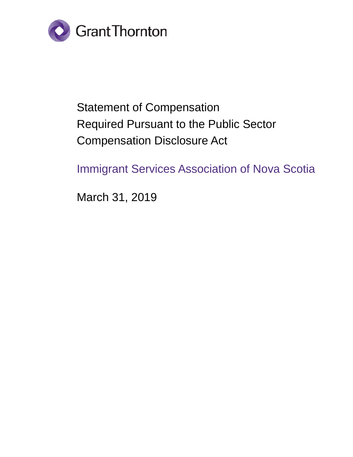

# Statement of Compensation Required Pursuant to the Public Sector Compensation Disclosure Act

Immigrant Services Association of Nova Scotia

March 31, 2019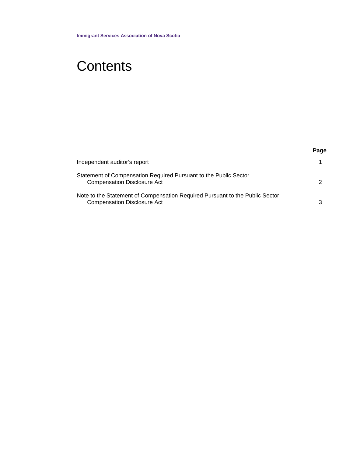# **Contents**

|                                                                                                                    | Page |
|--------------------------------------------------------------------------------------------------------------------|------|
| Independent auditor's report                                                                                       |      |
| Statement of Compensation Required Pursuant to the Public Sector<br><b>Compensation Disclosure Act</b>             |      |
| Note to the Statement of Compensation Required Pursuant to the Public Sector<br><b>Compensation Disclosure Act</b> |      |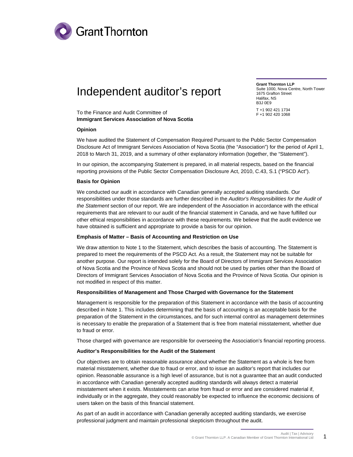

## Independent auditor's report

**Grant Thornton LLP** Suite 1000, Nova Centre, North Tower 1675 Grafton Street Halifax, NS B3J 0E9 T +1 902 421 1734 F +1 902 420 1068

To the Finance and Audit Committee of **Immigrant Services Association of Nova Scotia**

#### **Opinion**

We have audited the Statement of Compensation Required Pursuant to the Public Sector Compensation Disclosure Act of Immigrant Services Association of Nova Scotia (the "Association") for the period of April 1, 2018 to March 31, 2019, and a summary of other explanatory information (together, the "Statement").

In our opinion, the accompanying Statement is prepared, in all material respects, based on the financial reporting provisions of the Public Sector Compensation Disclosure Act, 2010, C.43, S.1 ("PSCD Act").

#### **Basis for Opinion**

We conducted our audit in accordance with Canadian generally accepted auditing standards. Our responsibilities under those standards are further described in the *Auditor's Responsibilities for the Audit of the Statement* section of our report. We are independent of the Association in accordance with the ethical requirements that are relevant to our audit of the financial statement in Canada, and we have fulfilled our other ethical responsibilities in accordance with these requirements. We believe that the audit evidence we have obtained is sufficient and appropriate to provide a basis for our opinion.

#### **Emphasis of Matter – Basis of Accounting and Restriction on Use**

We draw attention to Note 1 to the Statement, which describes the basis of accounting. The Statement is prepared to meet the requirements of the PSCD Act. As a result, the Statement may not be suitable for another purpose. Our report is intended solely for the Board of Directors of Immigrant Services Association of Nova Scotia and the Province of Nova Scotia and should not be used by parties other than the Board of Directors of Immigrant Services Association of Nova Scotia and the Province of Nova Scotia. Our opinion is not modified in respect of this matter.

#### **Responsibilities of Management and Those Charged with Governance for the Statement**

Management is responsible for the preparation of this Statement in accordance with the basis of accounting described in Note 1. This includes determining that the basis of accounting is an acceptable basis for the preparation of the Statement in the circumstances, and for such internal control as management determines is necessary to enable the preparation of a Statement that is free from material misstatement, whether due to fraud or error.

Those charged with governance are responsible for overseeing the Association's financial reporting process.

#### **Auditor's Responsibilities for the Audit of the Statement**

Our objectives are to obtain reasonable assurance about whether the Statement as a whole is free from material misstatement, whether due to fraud or error, and to issue an auditor's report that includes our opinion. Reasonable assurance is a high level of assurance, but is not a guarantee that an audit conducted in accordance with Canadian generally accepted auditing standards will always detect a material misstatement when it exists. Misstatements can arise from fraud or error and are considered material if, individually or in the aggregate, they could reasonably be expected to influence the economic decisions of users taken on the basis of this financial statement.

As part of an audit in accordance with Canadian generally accepted auditing standards, we exercise professional judgment and maintain professional skepticism throughout the audit.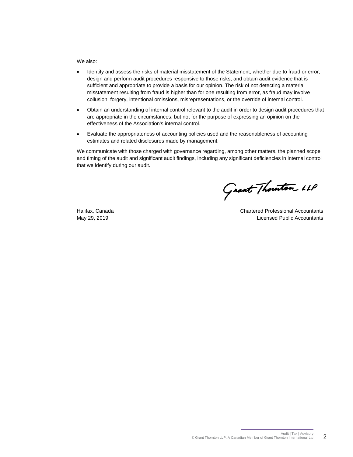We also:

- Identify and assess the risks of material misstatement of the Statement, whether due to fraud or error, design and perform audit procedures responsive to those risks, and obtain audit evidence that is sufficient and appropriate to provide a basis for our opinion. The risk of not detecting a material misstatement resulting from fraud is higher than for one resulting from error, as fraud may involve collusion, forgery, intentional omissions, misrepresentations, or the override of internal control.
- Obtain an understanding of internal control relevant to the audit in order to design audit procedures that are appropriate in the circumstances, but not for the purpose of expressing an opinion on the effectiveness of the Association's internal control.
- Evaluate the appropriateness of accounting policies used and the reasonableness of accounting estimates and related disclosures made by management.

We communicate with those charged with governance regarding, among other matters, the planned scope and timing of the audit and significant audit findings, including any significant deficiencies in internal control that we identify during our audit.

Grant Thouton LLP

Halifax, Canada Chartered Professional Accountants May 29, 2019 Licensed Public Accountants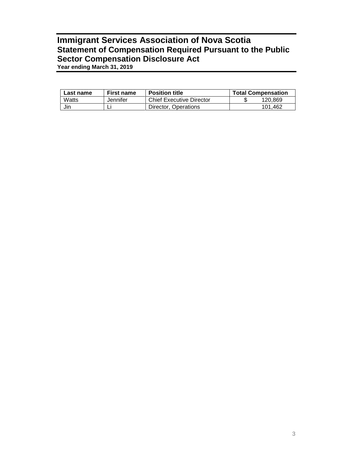### **Immigrant Services Association of Nova Scotia Statement of Compensation Required Pursuant to the Public Sector Compensation Disclosure Act Year ending March 31, 2019**

| Last name | <b>First name</b> | <b>Position title</b>           | <b>Total Compensation</b> |
|-----------|-------------------|---------------------------------|---------------------------|
| Watts     | Jennifer          | <b>Chief Executive Director</b> | 120.869                   |
| Jin       |                   | Director, Operations            | 101.462                   |